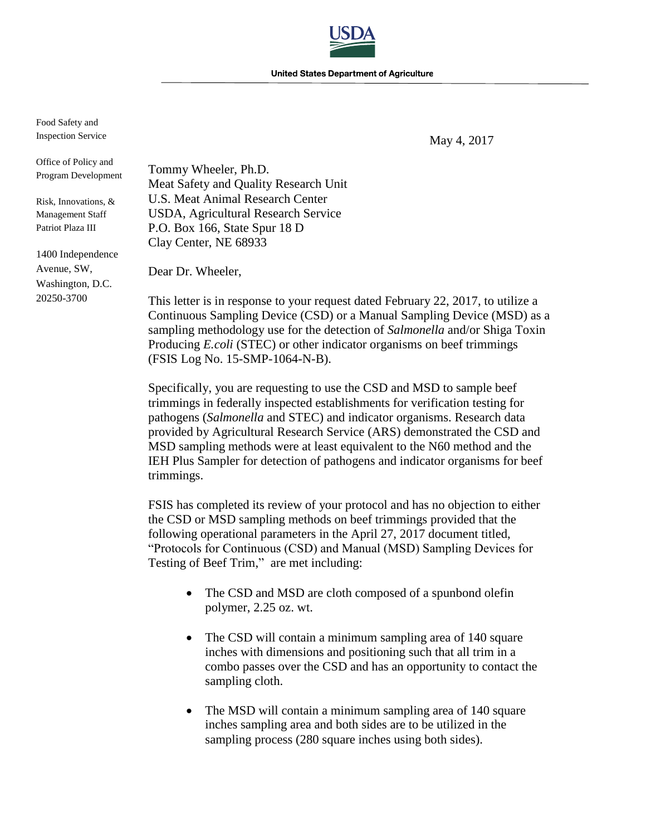**United States Department of Agriculture** 

Food Safety and Inspection Service

May 4, 2017

Office of Policy and Program Development

Risk, Innovations, & Management Staff Patriot Plaza III

1400 Independence Avenue, SW, Washington, D.C. 20250-3700

Tommy Wheeler, Ph.D. Meat Safety and Quality Research Unit U.S. Meat Animal Research Center USDA, Agricultural Research Service P.O. Box 166, State Spur 18 D Clay Center, NE 68933

Dear Dr. Wheeler,

This letter is in response to your request dated February 22, 2017, to utilize a Continuous Sampling Device (CSD) or a Manual Sampling Device (MSD) as a sampling methodology use for the detection of *Salmonella* and/or Shiga Toxin Producing *E.coli* (STEC) or other indicator organisms on beef trimmings (FSIS Log No. 15-SMP-1064-N-B).

Specifically, you are requesting to use the CSD and MSD to sample beef trimmings in federally inspected establishments for verification testing for pathogens (*Salmonella* and STEC) and indicator organisms. Research data provided by Agricultural Research Service (ARS) demonstrated the CSD and MSD sampling methods were at least equivalent to the N60 method and the IEH Plus Sampler for detection of pathogens and indicator organisms for beef trimmings.

FSIS has completed its review of your protocol and has no objection to either the CSD or MSD sampling methods on beef trimmings provided that the following operational parameters in the April 27, 2017 document titled, "Protocols for Continuous (CSD) and Manual (MSD) Sampling Devices for Testing of Beef Trim," are met including:

- The CSD and MSD are cloth composed of a spunbond olefin polymer, 2.25 oz. wt.
- The CSD will contain a minimum sampling area of 140 square inches with dimensions and positioning such that all trim in a combo passes over the CSD and has an opportunity to contact the sampling cloth.
- The MSD will contain a minimum sampling area of 140 square inches sampling area and both sides are to be utilized in the sampling process (280 square inches using both sides).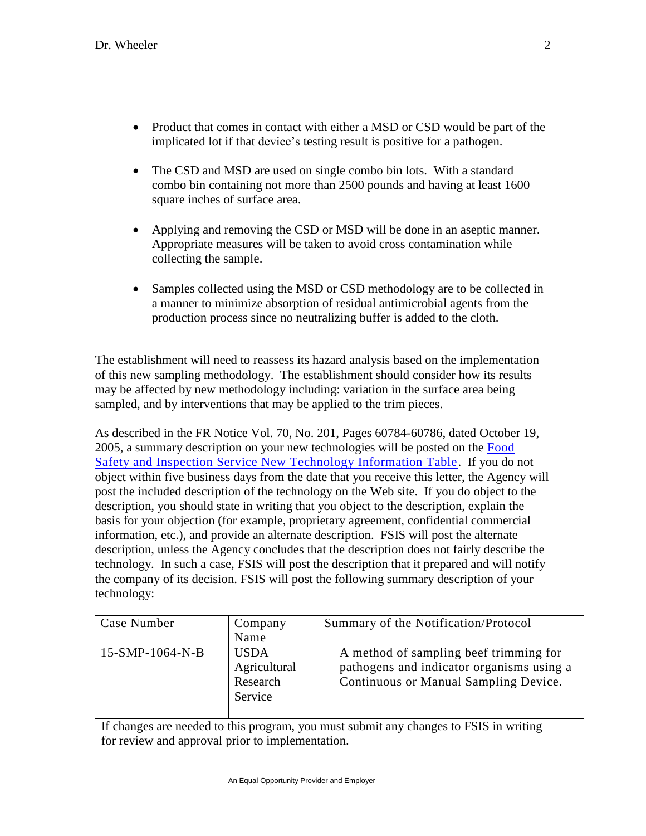- Product that comes in contact with either a MSD or CSD would be part of the implicated lot if that device's testing result is positive for a pathogen.
- The CSD and MSD are used on single combo bin lots. With a standard combo bin containing not more than 2500 pounds and having at least 1600 square inches of surface area.
- Applying and removing the CSD or MSD will be done in an aseptic manner. Appropriate measures will be taken to avoid cross contamination while collecting the sample.
- Samples collected using the MSD or CSD methodology are to be collected in a manner to minimize absorption of residual antimicrobial agents from the production process since no neutralizing buffer is added to the cloth.

The establishment will need to reassess its hazard analysis based on the implementation of this new sampling methodology. The establishment should consider how its results may be affected by new methodology including: variation in the surface area being sampled, and by interventions that may be applied to the trim pieces.

As described in the FR Notice Vol. 70, No. 201, Pages 60784-60786, dated October 19, 2005, a summary description on your new technologies will be posted on the [Food](http://www.fsis.usda.gov/Regulations_&_Policies/New_Technology_Table_Feb_06/index.asp)  [Safety and Inspection Service New Technology Information Table.](http://www.fsis.usda.gov/Regulations_&_Policies/New_Technology_Table_Feb_06/index.asp) If you do not object within five business days from the date that you receive this letter, the Agency will post the included description of the technology on the Web site. If you do object to the description, you should state in writing that you object to the description, explain the basis for your objection (for example, proprietary agreement, confidential commercial information, etc.), and provide an alternate description. FSIS will post the alternate description, unless the Agency concludes that the description does not fairly describe the technology. In such a case, FSIS will post the description that it prepared and will notify the company of its decision. FSIS will post the following summary description of your technology:

| Case Number       | Company                                            | Summary of the Notification/Protocol                                                                                         |
|-------------------|----------------------------------------------------|------------------------------------------------------------------------------------------------------------------------------|
|                   | Name                                               |                                                                                                                              |
| $15-SMP-1064-N-B$ | <b>USDA</b><br>Agricultural<br>Research<br>Service | A method of sampling beef trimming for<br>pathogens and indicator organisms using a<br>Continuous or Manual Sampling Device. |

If changes are needed to this program, you must submit any changes to FSIS in writing for review and approval prior to implementation.